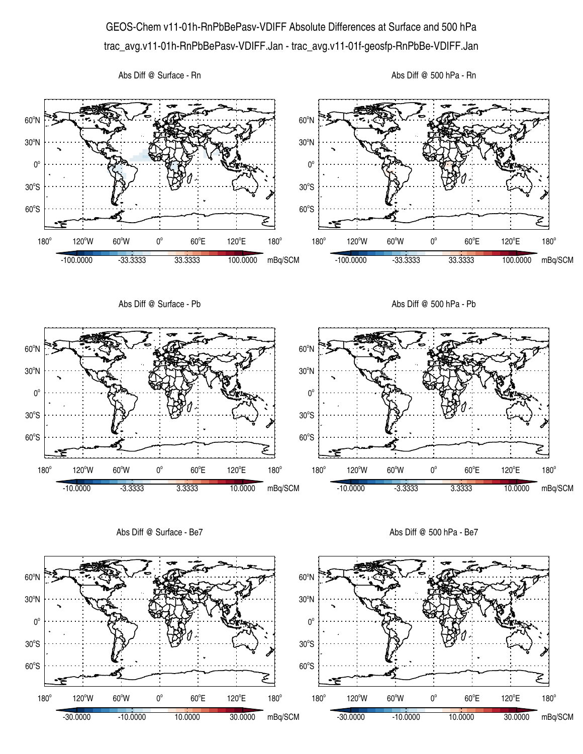## GEOS-Chem v11-01h-RnPbBePasv-VDIFF Absolute Differences at Surface and 500 hPa trac\_avg.v11-01h-RnPbBePasv-VDIFF.Jan - trac\_avg.v11-01f-geosfp-RnPbBe-VDIFF.Jan

Abs Diff @ Surface - Rn





Abs Diff @ Surface - Be7

Abs Diff @ 500 hPa - Be7